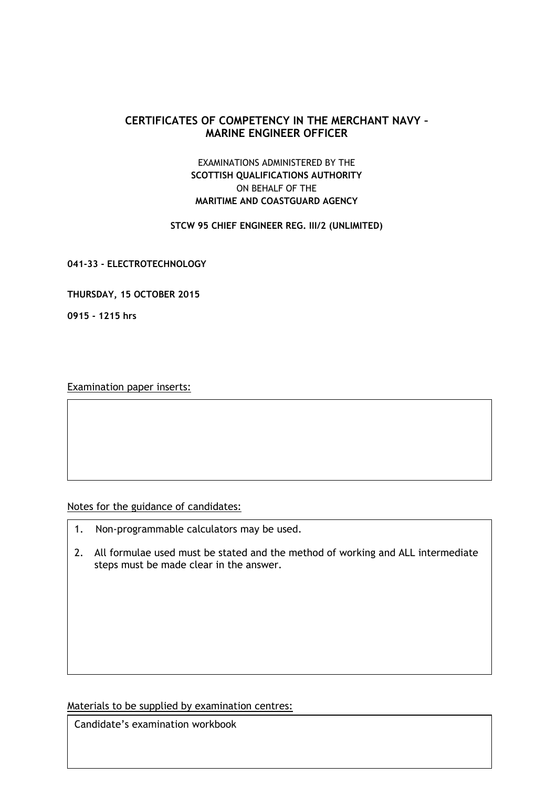## **CERTIFICATES OF COMPETENCY IN THE MERCHANT NAVY – MARINE ENGINEER OFFICER**

## EXAMINATIONS ADMINISTERED BY THE **SCOTTISH QUALIFICATIONS AUTHORITY** ON BEHALF OF THE **MARITIME AND COASTGUARD AGENCY**

## **STCW 95 CHIEF ENGINEER REG. III/2 (UNLIMITED)**

**041-33 - ELECTROTECHNOLOGY**

**THURSDAY, 15 OCTOBER 2015**

**0915 - 1215 hrs**

Examination paper inserts:

Notes for the guidance of candidates:

- 1. Non-programmable calculators may be used.
- 2. All formulae used must be stated and the method of working and ALL intermediate steps must be made clear in the answer.

Materials to be supplied by examination centres:

Candidate's examination workbook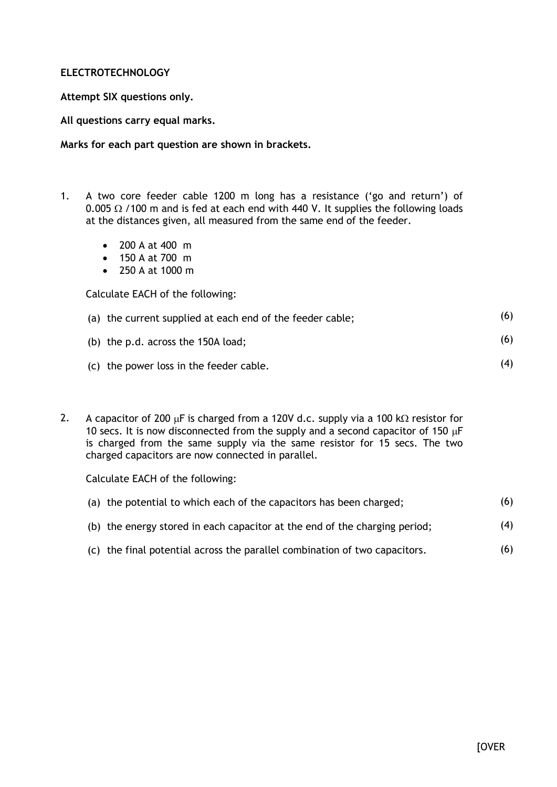## **ELECTROTECHNOLOGY**

**Attempt SIX questions only.**

**All questions carry equal marks.**

**Marks for each part question are shown in brackets.**

- 1. A two core feeder cable 1200 m long has a resistance ('go and return') of 0.005  $\Omega$  /100 m and is fed at each end with 440 V. It supplies the following loads at the distances given, all measured from the same end of the feeder.
	- 200 A at 400 m
	- 150 A at 700 m
	- 250 A at 1000 m

Calculate EACH of the following:

| (a) the current supplied at each end of the feeder cable; |  |
|-----------------------------------------------------------|--|
|                                                           |  |

- (b) the p.d. across the 150A load; (6)
- (c) the power loss in the feeder cable.
- 2. A capacitor of 200  $\mu$ F is charged from a 120V d.c. supply via a 100 k $\Omega$  resistor for 10 secs. It is now disconnected from the supply and a second capacitor of 150  $\mu$ F is charged from the same supply via the same resistor for 15 secs. The two charged capacitors are now connected in parallel.

Calculate EACH of the following:

| (a) the potential to which each of the capacitors has been charged;        | (6) |
|----------------------------------------------------------------------------|-----|
| (b) the energy stored in each capacitor at the end of the charging period; | (4) |
|                                                                            |     |

(c) the final potential across the parallel combination of two capacitors. (6)

(4)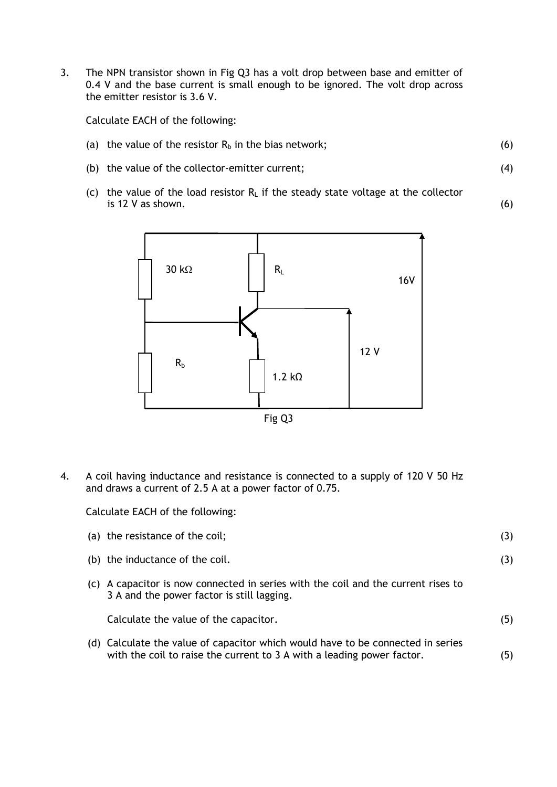3. The NPN transistor shown in Fig Q3 has a volt drop between base and emitter of 0.4 V and the base current is small enough to be ignored. The volt drop across the emitter resistor is 3.6 V.

Calculate EACH of the following:

- (a) the value of the resistor  $R_b$  in the bias network;
- (b) the value of the collector-emitter current;
- (c) the value of the load resistor  $R_L$  if the steady state voltage at the collector is 12 V as shown.



4. A coil having inductance and resistance is connected to a supply of 120 V 50 Hz and draws a current of 2.5 A at a power factor of 0.75.

Calculate EACH of the following:

|     | (a) the resistance of the coil;                                                                                                                           | (3) |
|-----|-----------------------------------------------------------------------------------------------------------------------------------------------------------|-----|
|     | (b) the inductance of the coil.                                                                                                                           | (3) |
| (C) | A capacitor is now connected in series with the coil and the current rises to<br>3 A and the power factor is still lagging.                               |     |
|     | Calculate the value of the capacitor.                                                                                                                     | (5) |
|     | (d) Calculate the value of capacitor which would have to be connected in series<br>with the coil to raise the current to 3 A with a leading power factor. | (5) |

(6)

(4)

(6)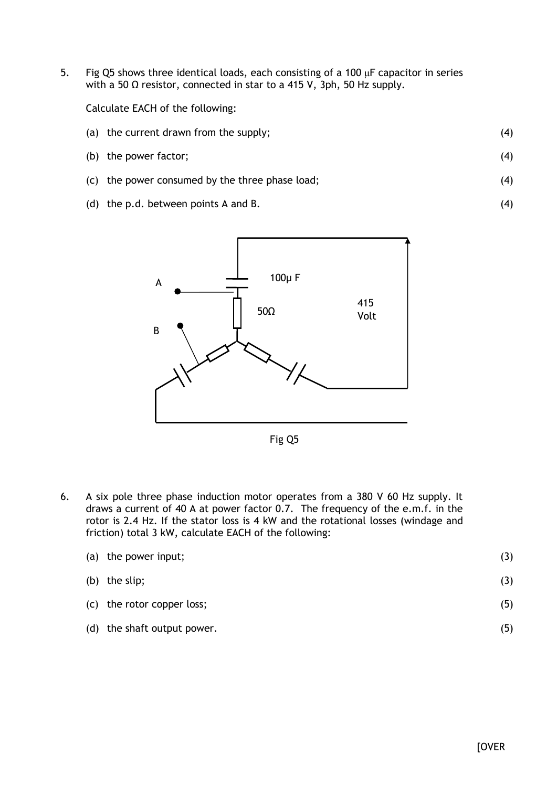5. Fig Q5 shows three identical loads, each consisting of a 100  $\mu$ F capacitor in series with a 50 Ω resistor, connected in star to a 415 V, 3ph, 50 Hz supply.

Calculate EACH of the following:

- (a) the current drawn from the supply; (4)
- (b) the power factor; (4)
- (c) the power consumed by the three phase load;
- (d) the p.d. between points A and B.



Fig Q5

6. A six pole three phase induction motor operates from a 380 V 60 Hz supply. It draws a current of 40 A at power factor 0.7. The frequency of the e.m.f. in the rotor is 2.4 Hz. If the stator loss is 4 kW and the rotational losses (windage and friction) total 3 kW, calculate EACH of the following:

| (a) the power input;        | (3) |
|-----------------------------|-----|
| (b) the slip;               | (3) |
| (c) the rotor copper loss;  | (5) |
| (d) the shaft output power. | (5) |

(4)

(4)